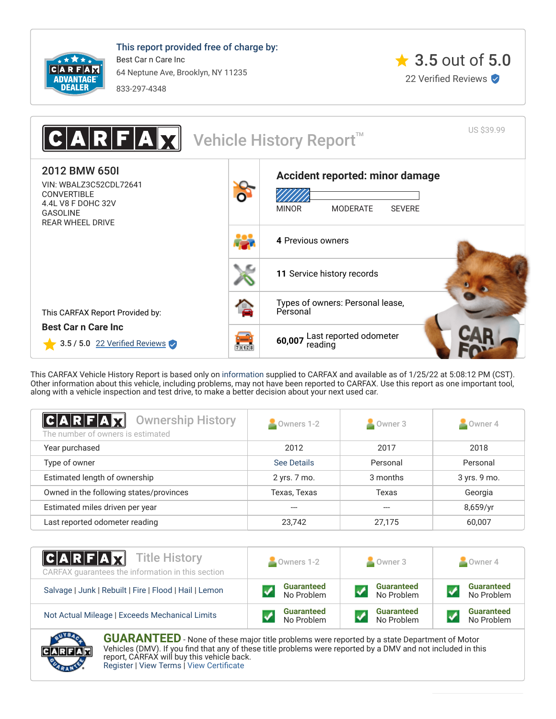

This report provided free of charge by: Best Car n Care Inc 64 Neptune Ave, Brooklyn, NY 11235 833-297-4348





This CARFAX Vehicle History Report is based only on [information](http://www.carfax.com/company/vhr-data-sources) supplied to CARFAX and available as of 1/25/22 at 5:08:12 PM (CST). Other information about this vehicle, including problems, may not have been reported to CARFAX. Use this report as one important tool, along with a vehicle inspection and test drive, to make a better decision about your next used car.

<span id="page-0-0"></span>

| $ {\bf C} {\bf A} {\bf R} {\bf F} {\bf A} {\bf Z} $<br><b>Ownership History</b><br>The number of owners is estimated | Owners 1-2   | Owner 3  | Owner 4      |  |
|----------------------------------------------------------------------------------------------------------------------|--------------|----------|--------------|--|
| Year purchased                                                                                                       | 2012         | 2017     | 2018         |  |
| Type of owner                                                                                                        | See Details  | Personal | Personal     |  |
| Estimated length of ownership                                                                                        | 2 yrs. 7 mo. | 3 months | 3 yrs. 9 mo. |  |
| Owned in the following states/provinces                                                                              | Texas, Texas | Texas    | Georgia      |  |
| Estimated miles driven per year                                                                                      |              |          | 8,659/yr     |  |
| Last reported odometer reading                                                                                       | 23,742       | 27.175   | 60,007       |  |

| <b>CARFAX</b> Title History<br>CARFAX guarantees the information in this section | Owners 1-2        | Owner 3           | Owner 4           |
|----------------------------------------------------------------------------------|-------------------|-------------------|-------------------|
| Salvage   Junk   Rebuilt   Fire   Flood   Hail   Lemon                           | <b>Guaranteed</b> | <b>Guaranteed</b> | <b>Guaranteed</b> |
|                                                                                  | No Problem        | No Problem        | No Problem        |
| Not Actual Mileage   Exceeds Mechanical Limits                                   | <b>Guaranteed</b> | <b>Guaranteed</b> | <b>Guaranteed</b> |
|                                                                                  | No Problem        | No Problem        | No Problem        |



**GUARANTEED** - None of these major title problems were reported by a state Department of Motor Vehicles (DMV). If you find that any of these title problems were reported by a DMV and not included in this report, CARFAX will buy this vehicle back. [Register](https://www.carfax.com/Service/bbg) | [View Terms](http://www.carfaxonline.com/legal/bbgTerms) | [View Certificate](https://www.carfaxonline.com/vhrs/WBALZ3C52CDL72641)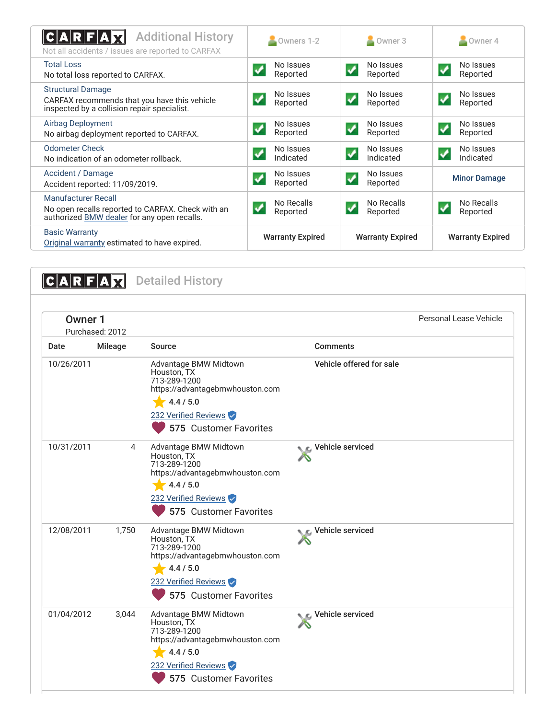<span id="page-1-0"></span>

| <b>Additional History</b><br>C A R F A<br>Not all accidents / issues are reported to CARFAX                             | Owners 1-2                                     | Owner 3                                             | Owner 4                                |
|-------------------------------------------------------------------------------------------------------------------------|------------------------------------------------|-----------------------------------------------------|----------------------------------------|
| <b>Total Loss</b><br>No total loss reported to CARFAX.                                                                  | No Issues<br>Reported                          | No Issues<br>$\blacklozenge$<br>Reported            | No Issues<br>✓<br>Reported             |
| <b>Structural Damage</b><br>CARFAX recommends that you have this vehicle<br>inspected by a collision repair specialist. | No Issues<br>✔<br>Reported                     | No Issues<br>$\checkmark$<br>Reported               | No Issues<br>✓<br>Reported             |
| <b>Airbag Deployment</b><br>No airbag deployment reported to CARFAX.                                                    | No Issues<br>$\blacktriangledown$<br>Reported  | No Issues<br>$\blacktriangledown$<br>Reported       | No Issues<br>✔<br>Reported             |
| <b>Odometer Check</b><br>No indication of an odometer rollback.                                                         | No Issues<br>$\blacktriangledown$<br>Indicated | No Issues<br>$\blacklozenge$<br>Indicated           | No Issues<br>$\checkmark$<br>Indicated |
| Accident / Damage<br>Accident reported: 11/09/2019.                                                                     | No Issues<br>Reported                          | No Issues<br>$\boldsymbol{\mathcal{L}}$<br>Reported | <b>Minor Damage</b>                    |
| Manufacturer Recall<br>No open recalls reported to CARFAX. Check with an<br>authorized BMW dealer for any open recalls. | No Recalls<br>√<br>Reported                    | No Recalls<br>$\checkmark$<br>Reported              | No Recalls<br>Reported                 |
| <b>Basic Warranty</b><br>Original warranty estimated to have expired.                                                   | <b>Warranty Expired</b>                        | <b>Warranty Expired</b>                             | <b>Warranty Expired</b>                |

<span id="page-1-2"></span><span id="page-1-1"></span>CARFAX Detailed History Owner 1 Purchased: 2012 Personal Lease Vehicle Date Mileage Source **Comments** 10/26/2011 Advantage BMW Midtown Houston, TX 713-289-1200 https://advantagebmwhouston.com  $4.4 / 5.0$ 232 Verified Reviews Vehicle offered for sale 10/31/2011 4 Advantage BMW Midtown Houston, TX 713-289-1200 https://advantagebmwhouston.com  $4.4 / 5.0$ 232 Verified Reviews Vehicle serviced 12/08/2011 1,750 Advantage BMW Midtown Houston, TX 713-289-1200 https://advantagebmwhouston.com  $4.4 / 5.0$ 232 Verified Reviews Vehicle serviced 01/04/2012 3,044 Advantage BMW Midtown Houston, TX 713-289-1200 https://advantagebmwhouston.com  $4.4 / 5.0$ 232 Verified Reviews Vehicle serviced <sup>575</sup> Customer Favorites <sup>575</sup> Customer Favorites <sup>575</sup> Customer Favorites <sup>575</sup> Customer Favorites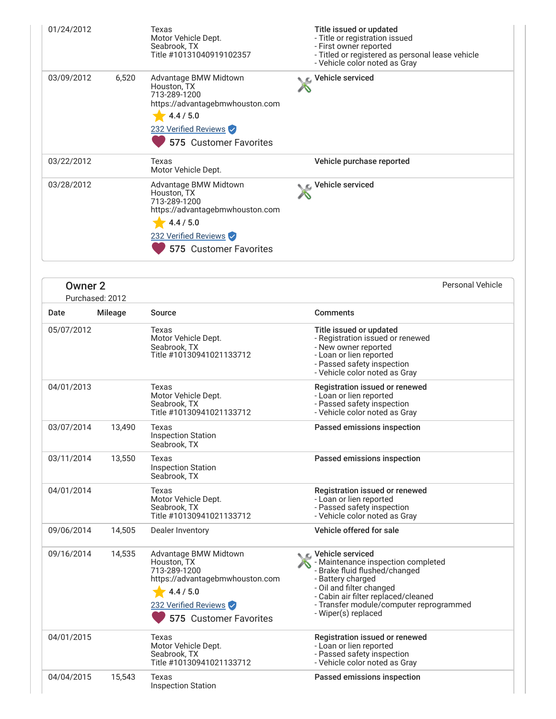| 01/24/2012 |       | Texas<br>Motor Vehicle Dept.<br>Seabrook, TX<br>Title #10131040919102357                                                                               | Title issued or updated<br>- Title or registration issued<br>- First owner reported<br>- Titled or registered as personal lease vehicle<br>- Vehicle color noted as Gray |
|------------|-------|--------------------------------------------------------------------------------------------------------------------------------------------------------|--------------------------------------------------------------------------------------------------------------------------------------------------------------------------|
| 03/09/2012 | 6,520 | Advantage BMW Midtown<br>Houston, TX<br>713-289-1200<br>https://advantagebmwhouston.com<br>4.4 / 5.0<br>232 Verified Reviews<br>575 Customer Favorites | C Vehicle serviced                                                                                                                                                       |
| 03/22/2012 |       | Texas<br>Motor Vehicle Dept.                                                                                                                           | Vehicle purchase reported                                                                                                                                                |
| 03/28/2012 |       | Advantage BMW Midtown<br>Houston, TX<br>713-289-1200<br>https://advantagebmwhouston.com<br>4.4 / 5.0<br>232 Verified Reviews<br>575 Customer Favorites | Vehicle serviced                                                                                                                                                         |

| <b>Owner 2</b> | Purchased: 2012 |                                                                                                                                                        |                                                                                                                                                                                                                                                     | <b>Personal Vehicle</b> |
|----------------|-----------------|--------------------------------------------------------------------------------------------------------------------------------------------------------|-----------------------------------------------------------------------------------------------------------------------------------------------------------------------------------------------------------------------------------------------------|-------------------------|
| Date           | <b>Mileage</b>  | Source                                                                                                                                                 | <b>Comments</b>                                                                                                                                                                                                                                     |                         |
| 05/07/2012     |                 | Texas<br>Motor Vehicle Dept.<br>Seabrook, TX<br>Title #10130941021133712                                                                               | Title issued or updated<br>- Registration issued or renewed<br>- New owner reported<br>- Loan or lien reported<br>- Passed safety inspection<br>- Vehicle color noted as Gray                                                                       |                         |
| 04/01/2013     |                 | Texas<br>Motor Vehicle Dept.<br>Seabrook, TX<br>Title #10130941021133712                                                                               | Registration issued or renewed<br>- Loan or lien reported<br>- Passed safety inspection<br>- Vehicle color noted as Gray                                                                                                                            |                         |
| 03/07/2014     | 13,490          | Texas<br><b>Inspection Station</b><br>Seabrook, TX                                                                                                     | Passed emissions inspection                                                                                                                                                                                                                         |                         |
| 03/11/2014     | 13,550          | Texas<br><b>Inspection Station</b><br>Seabrook, TX                                                                                                     | Passed emissions inspection                                                                                                                                                                                                                         |                         |
| 04/01/2014     |                 | Texas<br>Motor Vehicle Dept.<br>Seabrook, TX<br>Title #10130941021133712                                                                               | Registration issued or renewed<br>- Loan or lien reported<br>- Passed safety inspection<br>- Vehicle color noted as Gray                                                                                                                            |                         |
| 09/06/2014     | 14,505          | Dealer Inventory                                                                                                                                       | Vehicle offered for sale                                                                                                                                                                                                                            |                         |
| 09/16/2014     | 14,535          | Advantage BMW Midtown<br>Houston, TX<br>713-289-1200<br>https://advantagebmwhouston.com<br>4.4 / 5.0<br>232 Verified Reviews<br>575 Customer Favorites | C Vehicle serviced<br>- Maintenance inspection completed<br>- Brake fluid flushed/changed<br>- Battery charged<br>- Oil and filter changed<br>- Cabin air filter replaced/cleaned<br>- Transfer module/computer reprogrammed<br>- Wiper(s) replaced |                         |
| 04/01/2015     |                 | Texas<br>Motor Vehicle Dept.<br>Seabrook, TX<br>Title #10130941021133712                                                                               | Registration issued or renewed<br>- Loan or lien reported<br>- Passed safety inspection<br>- Vehicle color noted as Gray                                                                                                                            |                         |
| 04/04/2015     | 15,543          | Texas<br><b>Inspection Station</b>                                                                                                                     | Passed emissions inspection                                                                                                                                                                                                                         |                         |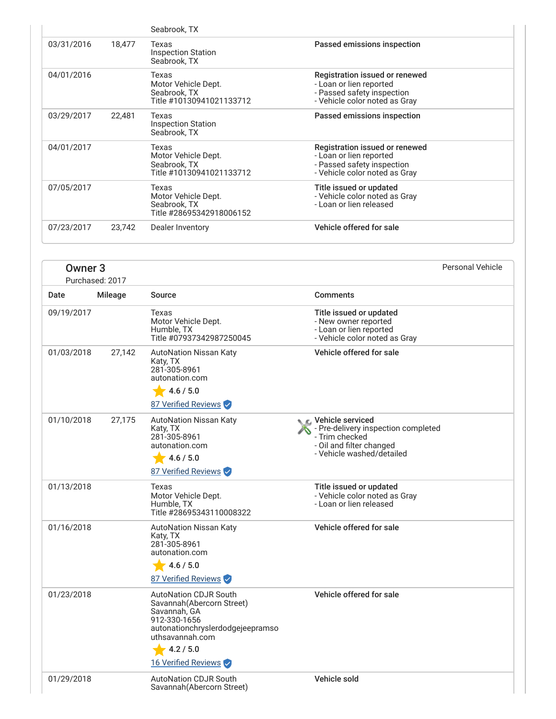|            |        | Seabrook, TX                                                             |                                                                                                                          |
|------------|--------|--------------------------------------------------------------------------|--------------------------------------------------------------------------------------------------------------------------|
| 03/31/2016 | 18,477 | Texas<br><b>Inspection Station</b><br>Seabrook, TX                       | Passed emissions inspection                                                                                              |
| 04/01/2016 |        | Texas<br>Motor Vehicle Dept.<br>Seabrook, TX<br>Title #10130941021133712 | Registration issued or renewed<br>- Loan or lien reported<br>- Passed safety inspection<br>- Vehicle color noted as Gray |
| 03/29/2017 | 22,481 | Texas<br><b>Inspection Station</b><br>Seabrook, TX                       | Passed emissions inspection                                                                                              |
| 04/01/2017 |        | Texas<br>Motor Vehicle Dept.<br>Seabrook, TX<br>Title #10130941021133712 | Registration issued or renewed<br>- Loan or lien reported<br>- Passed safety inspection<br>- Vehicle color noted as Gray |
| 07/05/2017 |        | Texas<br>Motor Vehicle Dept.<br>Seabrook, TX<br>Title #28695342918006152 | Title issued or updated<br>- Vehicle color noted as Gray<br>- Loan or lien released                                      |
| 07/23/2017 | 23,742 | Dealer Inventory                                                         | Vehicle offered for sale                                                                                                 |

|            | Owner <sub>3</sub><br>Purchased: 2017 |                                                                                                                                                                | <b>Personal Vehicle</b>                                                                                                               |  |
|------------|---------------------------------------|----------------------------------------------------------------------------------------------------------------------------------------------------------------|---------------------------------------------------------------------------------------------------------------------------------------|--|
| Date       | Mileage                               | Source                                                                                                                                                         | <b>Comments</b>                                                                                                                       |  |
| 09/19/2017 |                                       | Texas<br>Motor Vehicle Dept.<br>Humble, TX<br>Title #07937342987250045                                                                                         | Title issued or updated<br>- New owner reported<br>- Loan or lien reported<br>- Vehicle color noted as Gray                           |  |
| 01/03/2018 | 27,142                                | <b>AutoNation Nissan Katy</b><br>Katy, TX<br>281-305-8961<br>autonation.com<br>4.6 / 5.0<br>87 Verified Reviews                                                | Vehicle offered for sale                                                                                                              |  |
| 01/10/2018 | 27,175                                | <b>AutoNation Nissan Katy</b><br>Katy, TX<br>281-305-8961<br>autonation.com<br>4.6 / 5.0<br>87 Verified Reviews                                                | C. Vehicle serviced<br>- Pre-delivery inspection completed<br>- Trim checked<br>- Oil and filter changed<br>- Vehicle washed/detailed |  |
| 01/13/2018 |                                       | Texas<br>Motor Vehicle Dept.<br>Humble, TX<br>Title #28695343110008322                                                                                         | Title issued or updated<br>- Vehicle color noted as Gray<br>- Loan or lien released                                                   |  |
| 01/16/2018 |                                       | <b>AutoNation Nissan Katy</b><br>Katy, TX<br>281-305-8961<br>autonation.com<br>4.6 / 5.0<br>87 Verified Reviews                                                | Vehicle offered for sale                                                                                                              |  |
| 01/23/2018 |                                       | <b>AutoNation CDJR South</b><br>Savannah (Abercorn Street)<br>Savannah, GA<br>912-330-1656<br>autonationchryslerdodgejeepramso<br>uthsavannah.com<br>4.2 / 5.0 | Vehicle offered for sale                                                                                                              |  |
|            |                                       | 16 Verified Reviews                                                                                                                                            |                                                                                                                                       |  |
| 01/29/2018 |                                       | <b>AutoNation CDJR South</b>                                                                                                                                   | Vehicle sold                                                                                                                          |  |

Savannah(Abercorn Street)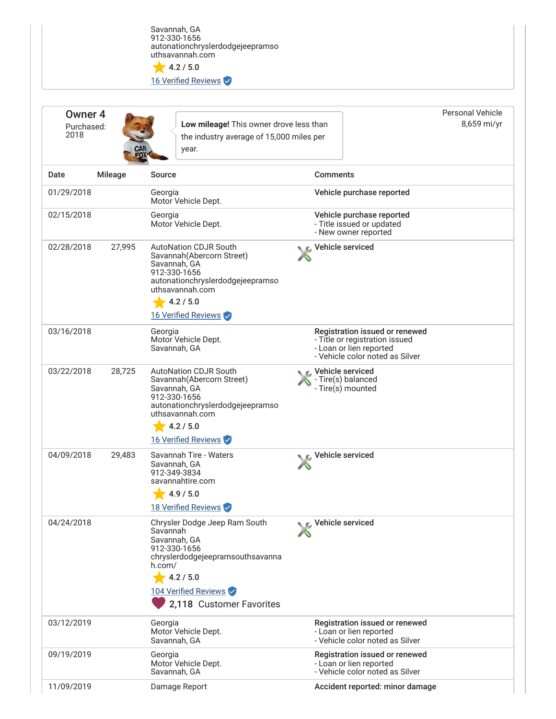Savannah, GA 912-330-1656 autonationchryslerdodgejeepramso uthsavannah.com

 $4.2 / 5.0$ 16 Verified Reviews

<span id="page-4-0"></span>

| Owner <sub>4</sub><br>Purchased:<br>2018 |         | Low mileage! This owner drove less than<br>the industry average of 15,000 miles per<br>year.                                                                                             | <b>Personal Vehicle</b><br>8,659 mi/yr                                                                                         |
|------------------------------------------|---------|------------------------------------------------------------------------------------------------------------------------------------------------------------------------------------------|--------------------------------------------------------------------------------------------------------------------------------|
| Date                                     | Mileage | <b>Source</b>                                                                                                                                                                            | <b>Comments</b>                                                                                                                |
| 01/29/2018                               |         | Georgia<br>Motor Vehicle Dept.                                                                                                                                                           | Vehicle purchase reported                                                                                                      |
| 02/15/2018                               |         | Georgia<br>Motor Vehicle Dept.                                                                                                                                                           | Vehicle purchase reported<br>- Title issued or updated<br>- New owner reported                                                 |
| 02/28/2018                               | 27,995  | <b>AutoNation CDJR South</b><br>Savannah (Abercorn Street)<br>Savannah, GA<br>912-330-1656<br>autonationchryslerdodgejeepramso<br>uthsavannah.com<br>4.2 / 5.0<br>16 Verified Reviews    | Vehicle serviced                                                                                                               |
| 03/16/2018                               |         | Georgia<br>Motor Vehicle Dept.<br>Savannah, GA                                                                                                                                           | Registration issued or renewed<br>- Title or registration issued<br>- Loan or lien reported<br>- Vehicle color noted as Silver |
| 03/22/2018                               | 28,725  | <b>AutoNation CDJR South</b><br>Savannah (Abercorn Street)<br>Savannah, GA<br>912-330-1656<br>autonationchryslerdodgejeepramso<br>uthsavannah.com<br>4.2 / 5.0                           | <b><i>€</i></b> Vehicle serviced<br>- Tire(s) balanced<br>- Tire(s) mounted                                                    |
|                                          |         | 16 Verified Reviews                                                                                                                                                                      |                                                                                                                                |
| 04/09/2018                               | 29,483  | Savannah Tire - Waters<br>Savannah, GA<br>912-349-3834<br>savannahtire.com<br>4.9 / 5.0<br>18 Verified Reviews                                                                           | Vehicle serviced                                                                                                               |
| 04/24/2018                               |         | Chrysler Dodge Jeep Ram South<br>Savannah<br>Savannah, GA<br>912-330-1656<br>chryslerdodgejeepramsouthsavanna<br>h.com/<br>4.2 / 5.0<br>104 Verified Reviews<br>2,118 Customer Favorites | C Vehicle serviced                                                                                                             |
| 03/12/2019                               |         | Georgia<br>Motor Vehicle Dept.<br>Savannah, GA                                                                                                                                           | Registration issued or renewed<br>- Loan or lien reported<br>- Vehicle color noted as Silver                                   |
| 09/19/2019                               |         | Georgia<br>Motor Vehicle Dept.<br>Savannah, GA                                                                                                                                           | Registration issued or renewed<br>- Loan or lien reported<br>- Vehicle color noted as Silver                                   |
| 11/09/2019                               |         | Damage Report                                                                                                                                                                            | Accident reported: minor damage                                                                                                |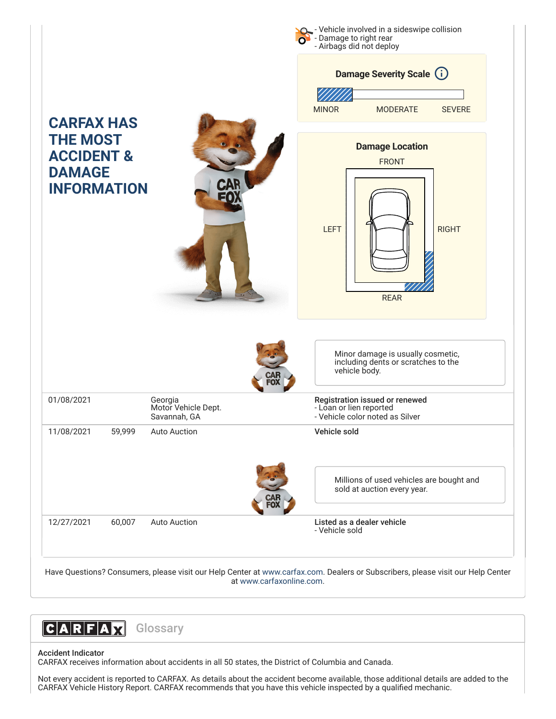- Vehicle involved in a sideswipe collision - Damage to right rear - Airbags did not deploy **CARFAX HAS THE MOST ACCIDENT & DAMAGE INFORMATION** Minor damage is usually cosmetic, including dents or scratches to the vehicle body. 01/08/2021 Georgia Motor Vehicle Dept. Savannah, GA Registration issued or renewed - Loan or lien reported - Vehicle color noted as Silver 11/08/2021 59,999 Auto Auction Vehicle sold Millions of used vehicles are bought and sold at auction every year. 12/27/2021 60,007 Auto Auction Listed as a dealer vehicle - Vehicle sold **Damage Severity Scale (i)** MINOR MODERATE SEVERE **Damage Location** FRONT LEFT RIGHT REAR

Have Questions? Consumers, please visit our Help Center at [www.carfax.com](http://www.carfax.com/help). Dealers or Subscribers, please visit our Help Center at [www.carfaxonline.com.](http://www.carfaxonline.com/)



### Accident Indicator

CARFAX receives information about accidents in all 50 states, the District of Columbia and Canada.

Not every accident is reported to CARFAX. As details about the accident become available, those additional details are added to the CARFAX Vehicle History Report. CARFAX recommends that you have this vehicle inspected by a qualified mechanic.